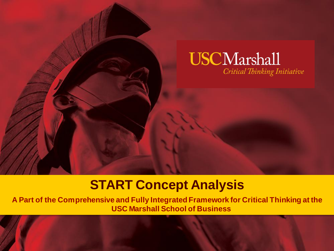

## **START Concept Analysis**

**A Part of the Comprehensive and Fully Integrated Framework for Critical Thinking at the USC Marshall School of Business**

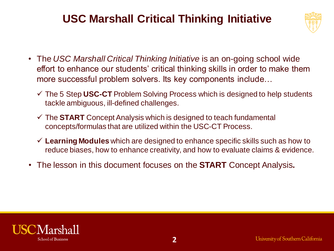#### **USC Marshall Critical Thinking Initiative**



- The *USC Marshall Critical Thinking Initiative* is an on-going school wide effort to enhance our students' critical thinking skills in order to make them more successful problem solvers. Its key components include…
	- The 5 Step **USC-CT** Problem Solving Process which is designed to help students tackle ambiguous, ill-defined challenges.
	- The **START** Concept Analysis which is designed to teach fundamental concepts/formulas that are utilized within the USC-CT Process.
	- **Learning Modules** which are designed to enhance specific skills such as how to reduce biases, how to enhance creativity, and how to evaluate claims & evidence.
- The lesson in this document focuses on the **START** Concept Analysis**.**

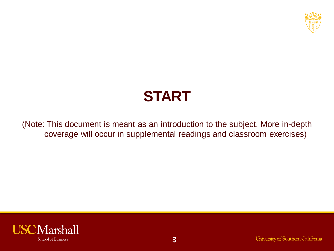

(Note: This document is meant as an introduction to the subject. More in-depth coverage will occur in supplemental readings and classroom exercises)

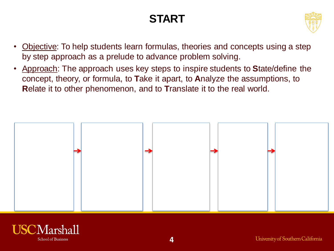

- Objective: To help students learn formulas, theories and concepts using a step by step approach as a prelude to advance problem solving.
- Approach: The approach uses key steps to inspire students to **S**tate/define the concept, theory, or formula, to **T**ake it apart, to **A**nalyze the assumptions, to **R**elate it to other phenomenon, and to **T**ranslate it to the real world.



**4**

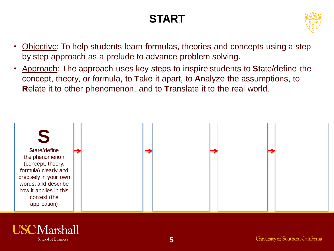

- Objective: To help students learn formulas, theories and concepts using a step by step approach as a prelude to advance problem solving.
- Approach: The approach uses key steps to inspire students to **S**tate/define the concept, theory, or formula, to **T**ake it apart, to **A**nalyze the assumptions, to **R**elate it to other phenomenon, and to **T**ranslate it to the real world.



**5**

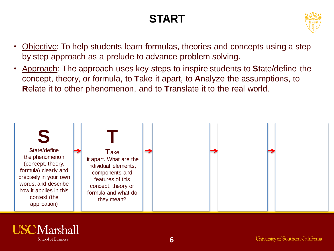

- Objective: To help students learn formulas, theories and concepts using a step by step approach as a prelude to advance problem solving.
- Approach: The approach uses key steps to inspire students to **S**tate/define the concept, theory, or formula, to **T**ake it apart, to **A**nalyze the assumptions, to **R**elate it to other phenomenon, and to **T**ranslate it to the real world.



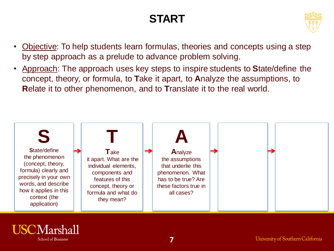

- Objective: To help students learn formulas, theories and concepts using a step by step approach as a prelude to advance problem solving.
- Approach: The approach uses key steps to inspire students to **S**tate/define the concept, theory, or formula, to **T**ake it apart, to **A**nalyze the assumptions, to **R**elate it to other phenomenon, and to **T**ranslate it to the real world.



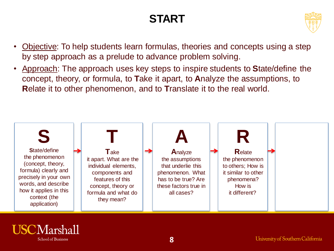

- Objective: To help students learn formulas, theories and concepts using a step by step approach as a prelude to advance problem solving.
- Approach: The approach uses key steps to inspire students to **S**tate/define the concept, theory, or formula, to **T**ake it apart, to **A**nalyze the assumptions, to **R**elate it to other phenomenon, and to **T**ranslate it to the real world.



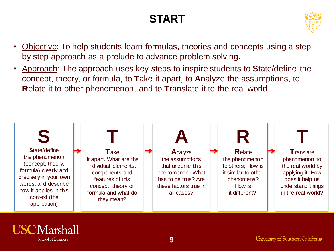

- Objective: To help students learn formulas, theories and concepts using a step by step approach as a prelude to advance problem solving.
- Approach: The approach uses key steps to inspire students to **S**tate/define the concept, theory, or formula, to **T**ake it apart, to **A**nalyze the assumptions, to **R**elate it to other phenomenon, and to **T**ranslate it to the real world.



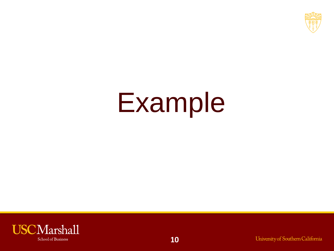

# Example

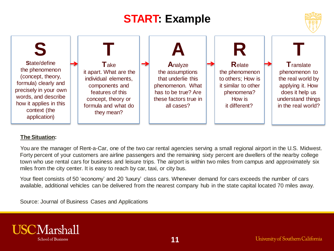



#### **The Situation:**

You are the manager of Rent-a-Car, one of the two car rental agencies serving a small regional airport in the U.S. Midwest. Forty percent of your customers are airline passengers and the remaining sixty percent are dwellers of the nearby college town who use rental cars for business and leisure trips. The airport is within two miles from campus and approximately six miles from the city center. It is easy to reach by car, taxi, or city bus.

Your fleet consists of 50 'economy' and 20 'luxury' class cars. Whenever demand for cars exceeds the number of cars available, additional vehicles can be delivered from the nearest company hub in the state capital located 70 miles away.

Source: Journal of Business Cases and Applications

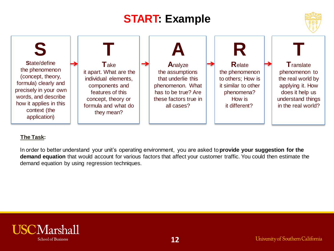



#### **The Task:**

In order to better understand your unit's operating environment, you are asked to **provide your suggestion for the demand equation** that would account for various factors that affect your customer traffic. You could then estimate the demand equation by using regression techniques.



**12**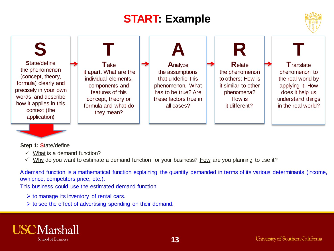



#### **Step 1: S**tate/define

- $\checkmark$  What is a demand function?
- $\checkmark$  Why do you want to estimate a demand function for your business? How are you planning to use it?

A demand function is a mathematical function explaining the quantity demanded in terms of its various determinants (income, own price, competitors price, etc.).

This business could use the estimated demand function

- $\triangleright$  to manage its inventory of rental cars.
- $\triangleright$  to see the effect of advertising spending on their demand.

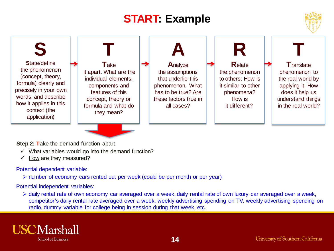

**S S**tate/define the phenomenon (concept, theory, formula) clearly and precisely in your own words, and describe how it applies in this context (the application) **T T**ake it apart. What are the individual elements, components and features of this concept, theory or formula and what do they mean? **R R**elate the phenomenon to others; How is it similar to other phenomena? How is it different? **T T**ranslate phenomenon to the real world by applying it. How does it help us understand things in the real world? **A A**nalyze the assumptions that underlie this phenomenon. What has to be true? Are these factors true in all cases?

**Step 2: Take the demand function apart.** 

- $\checkmark$  What variables would go into the demand function?
- $\checkmark$  How are they measured?

Potential dependent variable:

 $\triangleright$  number of economy cars rented out per week (could be per month or per year)

Potential independent variables:

 daily rental rate of own economy car averaged over a week, daily rental rate of own luxury car averaged over a week, competitor's daily rental rate averaged over a week, weekly advertising spending on TV, weekly advertising spending on radio, dummy variable for college being in session during that week, etc.

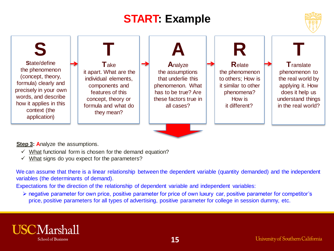



#### **Step 3: Analyze the assumptions.**

- $\checkmark$  What functional form is chosen for the demand equation?
- $\checkmark$  What signs do you expect for the parameters?

We can assume that there is a linear relationship between the dependent variable (quantity demanded) and the independent variables (the determinants of demand).

Expectations for the direction of the relationship of dependent variable and independent variables:

 negative parameter for own price, positive parameter for price of own luxury car, positive parameter for competitor's price, positive parameters for all types of advertising, positive parameter for college in session dummy, etc.

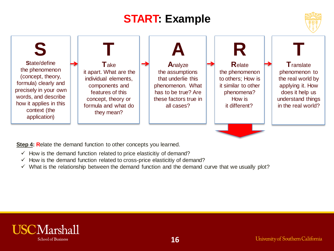



**Step 4: Relate the demand function to other concepts you learned.** 

- $\checkmark$  How is the demand function related to price elasticitiy of demand?
- $\checkmark$  How is the demand function related to cross-price elasticitiy of demand?
- $\checkmark$  What is the relationship between the demand function and the demand curve that we usually plot?

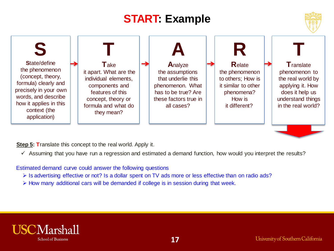



**Step 5: Translate this concept to the real world. Apply it.** 

 $\checkmark$  Assuming that you have run a regression and estimated a demand function, how would you interpret the results?

Estimated demand curve could answer the following questions

- Is advertising effective or not? Is a dollar spent on TV ads more or less effective than on radio ads?
- $\triangleright$  How many additional cars will be demanded if college is in session during that week.

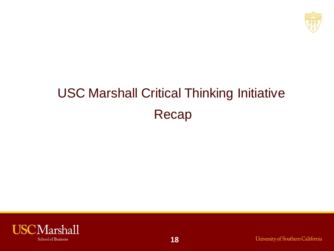

# USC Marshall Critical Thinking Initiative Recap